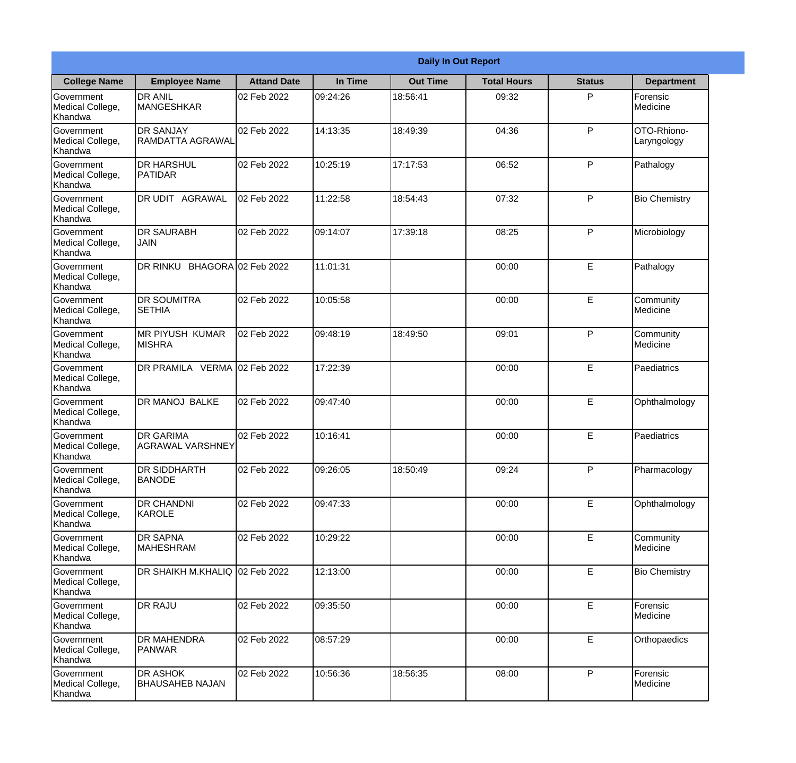|                                                  | <b>Daily In Out Report</b>                  |                     |          |                 |                    |               |                            |  |
|--------------------------------------------------|---------------------------------------------|---------------------|----------|-----------------|--------------------|---------------|----------------------------|--|
| <b>College Name</b>                              | <b>Employee Name</b>                        | <b>Attand Date</b>  | In Time  | <b>Out Time</b> | <b>Total Hours</b> | <b>Status</b> | <b>Department</b>          |  |
| Government<br>Medical College,<br>Khandwa        | <b>DR ANIL</b><br><b>MANGESHKAR</b>         | 02 Feb 2022         | 09:24:26 | 18:56:41        | 09:32              | P             | Forensic<br>Medicine       |  |
| Government<br>Medical College,<br>Khandwa        | <b>DR SANJAY</b><br><b>RAMDATTA AGRAWAL</b> | 02 Feb 2022         | 14:13:35 | 18:49:39        | 04:36              | P             | OTO-Rhiono-<br>Laryngology |  |
| <b>Government</b><br>Medical College,<br>Khandwa | <b>DR HARSHUL</b><br><b>PATIDAR</b>         | 02 Feb 2022         | 10:25:19 | 17:17:53        | 06:52              | P             | Pathalogy                  |  |
| Government<br>Medical College,<br>Khandwa        | DR UDIT AGRAWAL                             | 02 Feb 2022         | 11:22:58 | 18:54:43        | 07:32              | P             | <b>Bio Chemistry</b>       |  |
| <b>Government</b><br>Medical College,<br>Khandwa | <b>DR SAURABH</b><br><b>JAIN</b>            | 02 Feb 2022         | 09:14:07 | 17:39:18        | 08:25              | P             | Microbiology               |  |
| Government<br>Medical College,<br>Khandwa        | DR RINKU                                    | BHAGORA 02 Feb 2022 | 11:01:31 |                 | 00:00              | E             | Pathalogy                  |  |
| Government<br>Medical College,<br>Khandwa        | <b>DR SOUMITRA</b><br><b>SETHIA</b>         | 02 Feb 2022         | 10:05:58 |                 | 00:00              | E             | Community<br>Medicine      |  |
| Government<br>Medical College,<br>Khandwa        | <b>MR PIYUSH KUMAR</b><br><b>MISHRA</b>     | 02 Feb 2022         | 09:48:19 | 18:49:50        | 09:01              | P             | Community<br>Medicine      |  |
| Government<br>Medical College,<br>Khandwa        | DR PRAMILA VERMA 02 Feb 2022                |                     | 17:22:39 |                 | 00:00              | E             | Paediatrics                |  |
| Government<br>Medical College,<br>Khandwa        | <b>DR MANOJ BALKE</b>                       | 02 Feb 2022         | 09:47:40 |                 | 00:00              | E             | Ophthalmology              |  |
| Government<br>Medical College,<br>Khandwa        | <b>DR GARIMA</b><br><b>AGRAWAL VARSHNEY</b> | 02 Feb 2022         | 10:16:41 |                 | 00:00              | E             | Paediatrics                |  |
| Government<br>Medical College,<br>Khandwa        | <b>DR SIDDHARTH</b><br><b>BANODE</b>        | 02 Feb 2022         | 09:26:05 | 18:50:49        | 09:24              | P             | Pharmacology               |  |
| Government<br>Medical College,<br>Khandwa        | <b>DR CHANDNI</b><br>KAROLE                 | 02 Feb 2022         | 09:47:33 |                 | 00:00              | E             | Ophthalmology              |  |
| Government<br>Medical College,<br>Khandwa        | <b>DR SAPNA</b><br><b>MAHESHRAM</b>         | 02 Feb 2022         | 10:29:22 |                 | 00:00              | E             | Community<br>Medicine      |  |
| <b>Government</b><br>Medical College,<br>Khandwa | <b>DR SHAIKH M.KHALIQ</b>                   | 02 Feb 2022         | 12:13:00 |                 | 00:00              | E             | <b>Bio Chemistry</b>       |  |
| Government<br>Medical College,<br>Khandwa        | <b>DR RAJU</b>                              | 02 Feb 2022         | 09:35:50 |                 | 00:00              | E             | Forensic<br>Medicine       |  |
| Government<br>Medical College,<br>Khandwa        | <b>DR MAHENDRA</b><br><b>PANWAR</b>         | 02 Feb 2022         | 08:57:29 |                 | 00:00              | E             | Orthopaedics               |  |
| Government<br>Medical College,<br>Khandwa        | <b>DR ASHOK</b><br><b>BHAUSAHEB NAJAN</b>   | 02 Feb 2022         | 10:56:36 | 18:56:35        | 08:00              | P             | Forensic<br>Medicine       |  |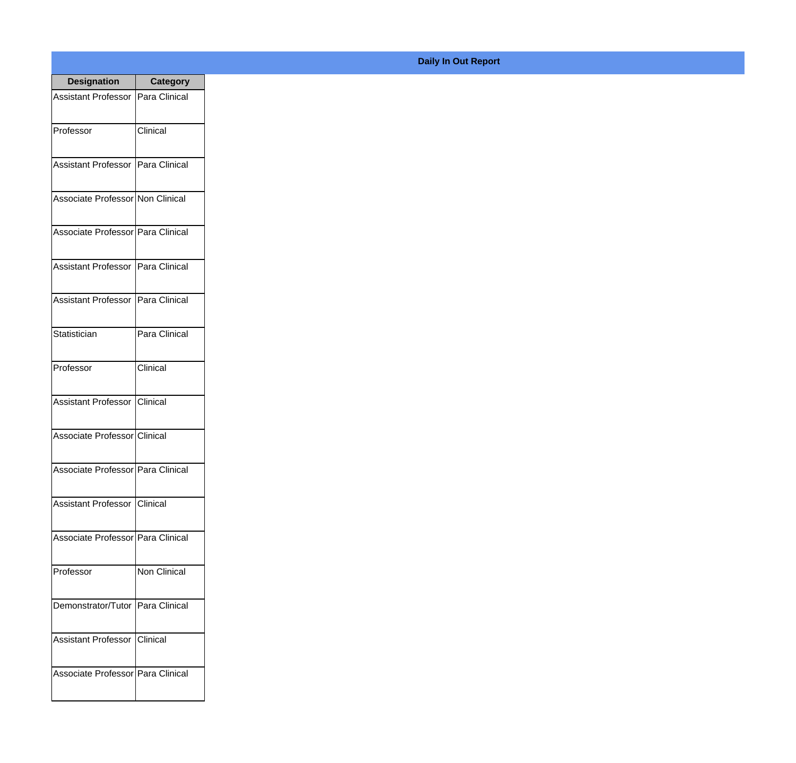| <b>Designation</b>                  | <b>Category</b>     |
|-------------------------------------|---------------------|
| Assistant Professor   Para Clinical |                     |
| Professor                           | Clinical            |
| Assistant Professor   Para Clinical |                     |
| Associate Professor Non Clinical    |                     |
| Associate Professor Para Clinical   |                     |
| Assistant Professor   Para Clinical |                     |
| Assistant Professor   Para Clinical |                     |
| Statistician                        | Para Clinical       |
| Professor                           | Clinical            |
| Assistant Professor Clinical        |                     |
| Associate Professor Clinical        |                     |
| Associate Professor Para Clinical   |                     |
| Assistant Professor   Clinical      |                     |
| Associate Professor Para Clinical   |                     |
| Professor                           | <b>Non Clinical</b> |
| Demonstrator/Tutor   Para Clinical  |                     |
| Assistant Professor   Clinical      |                     |
| Associate Professor Para Clinical   |                     |

## **Daily In Out Report**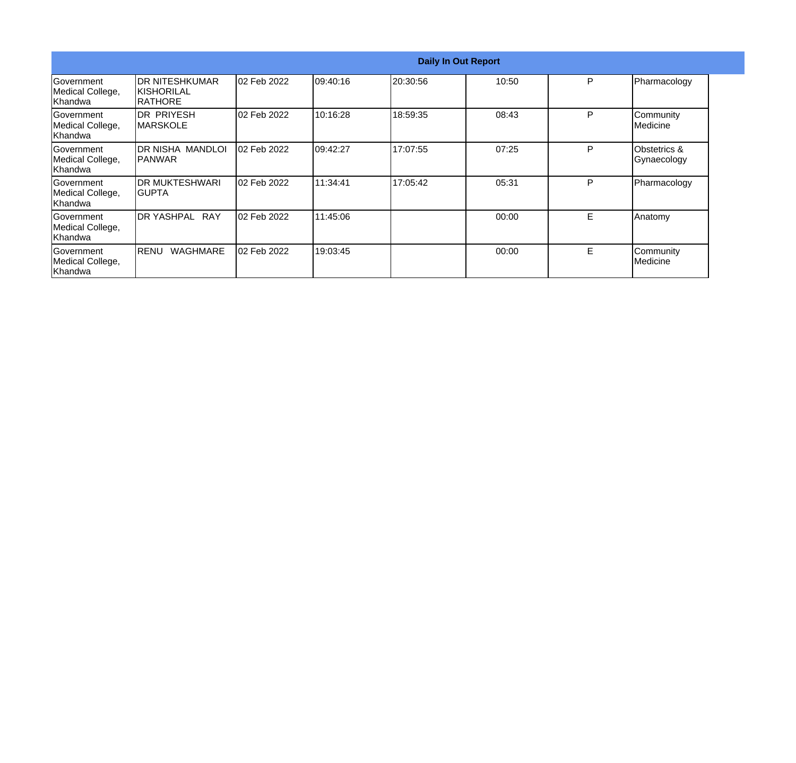|                                                   |                                                  |             |           | <b>Daily In Out Report</b> |       |    |                                |
|---------------------------------------------------|--------------------------------------------------|-------------|-----------|----------------------------|-------|----|--------------------------------|
| Government<br>Medical College,<br>lKhandwa        | <b>DR NITESHKUMAR</b><br>IKISHORILAL<br>IRATHORE | 02 Feb 2022 | 109:40:16 | 20:30:56                   | 10:50 | P  | Pharmacology                   |
| <b>Sovernment</b><br>Medical College,<br>lKhandwa | <b>DR PRIYESH</b><br><b>IMARSKOLE</b>            | 02 Feb 2022 | 10:16:28  | 18:59:35                   | 08:43 | P  | Community<br><b>I</b> Medicine |
| <b>Sovernment</b><br>Medical College,<br>Khandwa  | IDR NISHA MANDLOI<br>IPANWAR                     | 02 Feb 2022 | 109:42:27 | 17:07:55                   | 07:25 | P  | Obstetrics &<br>Gynaecology    |
| Government<br>Medical College,<br>Khandwa         | <b>DR MUKTESHWARI</b><br>IGUPTA                  | 02 Feb 2022 | 11:34:41  | 17:05:42                   | 05:31 | P  | Pharmacology                   |
| Government<br>Medical College,<br>Khandwa         | <b>DR YASHPAL</b><br><b>RAY</b>                  | 02 Feb 2022 | 11:45:06  |                            | 00:00 | E. | Anatomy                        |
| Government<br>Medical College,<br>Khandwa         | RENU<br>WAGHMARE                                 | 02 Feb 2022 | 19:03:45  |                            | 00:00 | E  | Community<br>Medicine          |